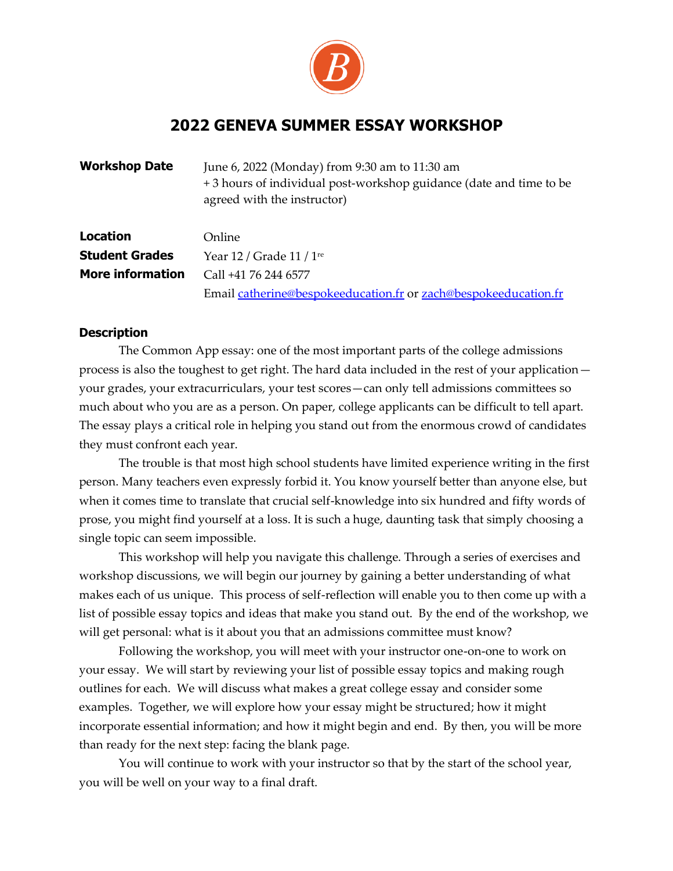

## **2022 GENEVA SUMMER ESSAY WORKSHOP**

| <b>Workshop Date</b>    | June 6, 2022 (Monday) from 9:30 am to 11:30 am<br>+3 hours of individual post-workshop guidance (date and time to be<br>agreed with the instructor) |  |
|-------------------------|-----------------------------------------------------------------------------------------------------------------------------------------------------|--|
| <b>Location</b>         | Online                                                                                                                                              |  |
| <b>Student Grades</b>   | Year 12 / Grade $11/1$ <sup>re</sup>                                                                                                                |  |
| <b>More information</b> | Call +41 76 244 6577                                                                                                                                |  |
|                         | Email catherine@bespokeeducation.fr or zach@bespokeeducation.fr                                                                                     |  |

## **Description**

The Common App essay: one of the most important parts of the college admissions process is also the toughest to get right. The hard data included in the rest of your application your grades, your extracurriculars, your test scores—can only tell admissions committees so much about who you are as a person. On paper, college applicants can be difficult to tell apart. The essay plays a critical role in helping you stand out from the enormous crowd of candidates they must confront each year.

The trouble is that most high school students have limited experience writing in the first person. Many teachers even expressly forbid it. You know yourself better than anyone else, but when it comes time to translate that crucial self-knowledge into six hundred and fifty words of prose, you might find yourself at a loss. It is such a huge, daunting task that simply choosing a single topic can seem impossible.

This workshop will help you navigate this challenge. Through a series of exercises and workshop discussions, we will begin our journey by gaining a better understanding of what makes each of us unique. This process of self-reflection will enable you to then come up with a list of possible essay topics and ideas that make you stand out. By the end of the workshop, we will get personal: what is it about you that an admissions committee must know?

Following the workshop, you will meet with your instructor one-on-one to work on your essay. We will start by reviewing your list of possible essay topics and making rough outlines for each. We will discuss what makes a great college essay and consider some examples. Together, we will explore how your essay might be structured; how it might incorporate essential information; and how it might begin and end. By then, you will be more than ready for the next step: facing the blank page.

You will continue to work with your instructor so that by the start of the school year, you will be well on your way to a final draft.